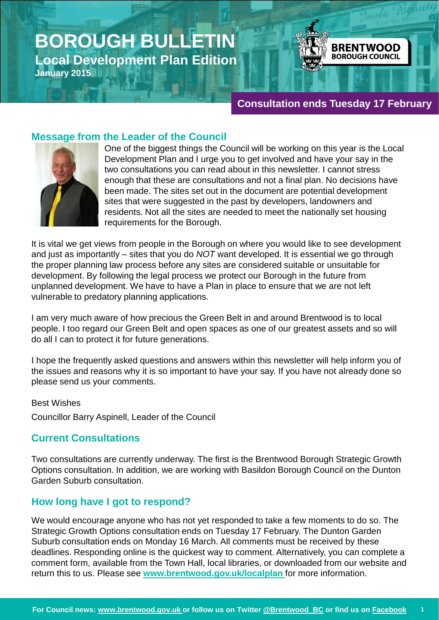# **BOROUGH BULLETIN Local Development Plan Edition January 2015**



# **[Consultation ends Tuesday 17 February](http://www.brentwood.gov.uk/localplan)**

# **Message from the Leader of the Council**



One of the biggest things the Council will be working on this year is the Local Development Plan and I urge you to get involved and have your say in the two consultations you can read about in this newsletter. I cannot stress enough that these are consultations and not a final plan. No decisions have been made. The sites set out in the document are potential development sites that were suggested in the past by developers, landowners and residents. Not all the sites are needed to meet the nationally set housing requirements for the Borough.

It is vital we get views from people in the Borough on where you would like to see development and just as importantly – sites that you do *NOT* want developed. It is essential we go through the proper planning law process before any sites are considered suitable or unsuitable for development. By following the legal process we protect our Borough in the future from unplanned development. We have to have a Plan in place to ensure that we are not left vulnerable to predatory planning applications.

I am very much aware of how precious the Green Belt in and around Brentwood is to local people. I too regard our Green Belt and open spaces as one of our greatest assets and so will do all I can to protect it for future generations.

I hope the frequently asked questions and answers within this newsletter will help inform you of the issues and reasons why it is so important to have your say. If you have not already done so please send us your comments.

Best Wishes

Councillor Barry Aspinell, Leader of the Council

### **Current Consultations**

Two consultations are currently underway. The first is the Brentwood Borough Strategic Growth Options consultation. In addition, we are working with Basildon Borough Council on the Dunton Garden Suburb consultation.

### **How long have I got to respond?**

We would encourage anyone who has not yet responded to take a few moments to do so. The Strategic Growth Options consultation ends on Tuesday 17 February. The Dunton Garden Suburb consultation ends on Monday 16 March. All comments must be received by these deadlines. Responding online is the quickest way to comment. Alternatively, you can complete a comment form, available from the Town Hall, local libraries, or downloaded from our website and return this to us. Please see **[www.brentwood.gov.uk/localplan](http://www.brentwood.gov.uk/localplan)** for more information.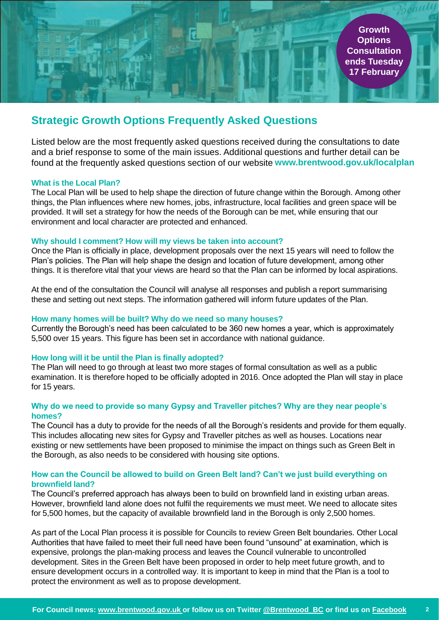# **Strategic Growth Options Frequently Asked Questions**

Listed below are the most frequently asked questions received during the consultations to date and a brief response to some of the main issues. Additional questions and further detail can be found at the frequently asked questions section of our website **www.brentwood.gov.uk/localplan**

#### **What is the Local Plan?**

The Local Plan will be used to help shape the direction of future change within the Borough. Among other things, the Plan influences where new homes, jobs, infrastructure, local facilities and green space will be provided. It will set a strategy for how the needs of the Borough can be met, while ensuring that our environment and local character are protected and enhanced.

#### **Why should I comment? How will my views be taken into account?**

Once the Plan is officially in place, development proposals over the next 15 years will need to follow the Plan's policies. The Plan will help shape the design and location of future development, among other things. It is therefore vital that your views are heard so that the Plan can be informed by local aspirations.

At the end of the consultation the Council will analyse all responses and publish a report summarising these and setting out next steps. The information gathered will inform future updates of the Plan.

#### **How many homes will be built? Why do we need so many houses?**

Currently the Borough's need has been calculated to be 360 new homes a year, which is approximately 5,500 over 15 years. This figure has been set in accordance with national guidance.

#### **How long will it be until the Plan is finally adopted?**

The Plan will need to go through at least two more stages of formal consultation as well as a public examination. It is therefore hoped to be officially adopted in 2016. Once adopted the Plan will stay in place for 15 years.

#### **Why do we need to provide so many Gypsy and Traveller pitches? Why are they near people's homes?**

The Council has a duty to provide for the needs of all the Borough's residents and provide for them equally. This includes allocating new sites for Gypsy and Traveller pitches as well as houses. Locations near existing or new settlements have been proposed to minimise the impact on things such as Green Belt in the Borough, as also needs to be considered with housing site options.

#### **How can the Council be allowed to build on Green Belt land? Can't we just build everything on brownfield land?**

The Council's preferred approach has always been to build on brownfield land in existing urban areas. However, brownfield land alone does not fulfil the requirements we must meet. We need to allocate sites for 5,500 homes, but the capacity of available brownfield land in the Borough is only 2,500 homes.

As part of the Local Plan process it is possible for Councils to review Green Belt boundaries. Other Local Authorities that have failed to meet their full need have been found "unsound" at examination, which is expensive, prolongs the plan-making process and leaves the Council vulnerable to uncontrolled development. Sites in the Green Belt have been proposed in order to help meet future growth, and to ensure development occurs in a controlled way. It is important to keep in mind that the Plan is a tool to protect the environment as well as to propose development.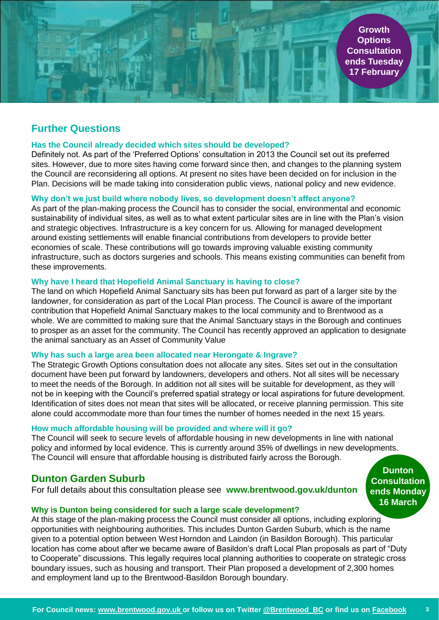**Growth Options Consultation [ends Tuesday](http://www.brentwood.gov.uk/localplan)  17 February**

# **Further Questions**

#### **Has the Council already decided which sites should be developed?**

Definitely not. As part of the 'Preferred Options' consultation in 2013 the Council set out its preferred sites. However, due to more sites having come forward since then, and changes to the planning system the Council are reconsidering all options. At present no sites have been decided on for inclusion in the Plan. Decisions will be made taking into consideration public views, national policy and new evidence.

### **Why don't we just build where nobody lives, so development doesn't affect anyone?**

As part of the plan-making process the Council has to consider the social, environmental and economic sustainability of individual sites, as well as to what extent particular sites are in line with the Plan's vision and strategic objectives. Infrastructure is a key concern for us. Allowing for managed development around existing settlements will enable financial contributions from developers to provide better economies of scale. These contributions will go towards improving valuable existing community infrastructure, such as doctors surgeries and schools. This means existing communities can benefit from these improvements.

#### **Why have I heard that Hopefield Animal Sanctuary is having to close?**

The land on which Hopefield Animal Sanctuary sits has been put forward as part of a larger site by the landowner, for consideration as part of the Local Plan process. The Council is aware of the important contribution that Hopefield Animal Sanctuary makes to the local community and to Brentwood as a whole. We are committed to making sure that the Animal Sanctuary stays in the Borough and continues to prosper as an asset for the community. The Council has recently approved an application to designate the animal sanctuary as an Asset of Community Value

#### **Why has such a large area been allocated near Herongate & Ingrave?**

The Strategic Growth Options consultation does not allocate any sites. Sites set out in the consultation document have been put forward by landowners, developers and others. Not all sites will be necessary to meet the needs of the Borough. In addition not all sites will be suitable for development, as they will not be in keeping with the Council's preferred spatial strategy or local aspirations for future development. Identification of sites does not mean that sites will be allocated, or receive planning permission. This site alone could accommodate more than four times the number of homes needed in the next 15 years.

#### **How much affordable housing will be provided and where will it go?**

The Council will seek to secure levels of affordable housing in new developments in line with national policy and informed by local evidence. This is currently around 35% of dwellings in new developments. The Council will ensure that affordable housing is distributed fairly across the Borough.

### **Dunton Garden Suburb**

For full details about this consultation please see **www.brentwood.gov.uk/dunton**

**Dunton Consultation [ends Monday](http://www.brentwood.gov.uk/localplan)  16 March**

#### **Why is Dunton being considered for such a large scale development?**

At this stage of the plan-making process the Council must consider all options, including exploring opportunities with neighbouring authorities. This includes Dunton Garden Suburb, which is the name given to a potential option between West Horndon and Laindon (in Basildon Borough). This particular location has come about after we became aware of Basildon's draft Local Plan proposals as part of "Duty to Cooperate" discussions. This legally requires local planning authorities to cooperate on strategic cross boundary issues, such as housing and transport. Their Plan proposed a development of 2,300 homes and employment land up to the Brentwood-Basildon Borough boundary.